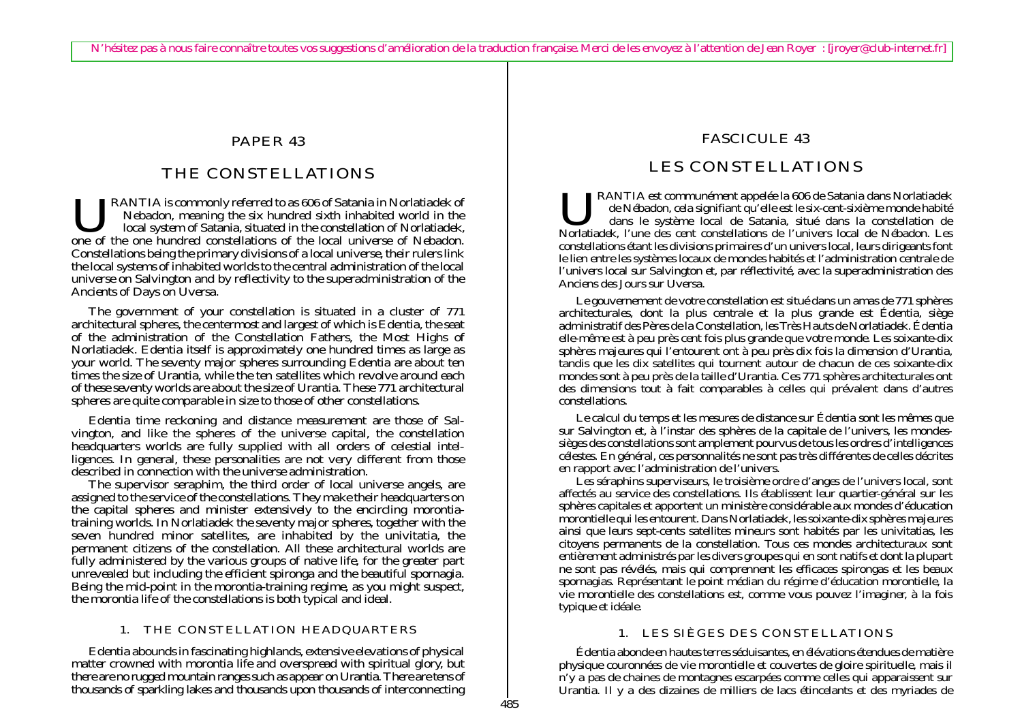# PAPER 43

# THE CONSTELLATIONS

URANTIA is commonly referred to as <sup>606</sup> of Satania in Norlatiadek of Nebadon, meaning the six hundred sixth inhabited world in the local system of Satania, situated in the constellation of Norlatiadek, one of the one hundred constellations of the local universe of Nebadon. Constellations being the primary divisions of a local universe, their rulers link the local systems of inhabited worlds to the central administration of the local universe on Salvington and by reflectivity to the superadministration of the Ancients of Days on Uversa.

The government of your constellation is situated in a cluster of 771 architectural spheres, the centermost and largest of which is Edentia, the seat of the administration of the Constellation Fathers, the Most Highs of Norlatiadek. Edentia itself is approximately one hundred times as large as your world. The seventy major spheres surrounding Edentia are about ten times the size of Urantia, while the ten satellites which revolve around each of these seventy worlds are about the size of Urantia. These 771 architectural spheres are quite comparable in size to those of other constellations.

Edentia time reckoning and distance measurement are those of Salvington, and like the spheres of the universe capital, the constellation headquarters worlds are fully supplied with all orders of celestial intelligences. In general, these personalities are not very different from those described in connection with the universe administration.

The supervisor seraphim, the third order of local universe angels, are assigned to the service of the constellations. They make their headquarters on the capital spheres and minister extensively to the encircling morontiatraining worlds. In Norlatiadek the seventy major spheres, together with the seven hundred minor satellites, are inhabited by the univitatia, the permanent citizens of the constellation. All these architectural worlds are fully administered by the various groups of native life, for the greater part unrevealed but including the efficient spironga and the beautiful spornagia. Being the mid-point in the morontia-training regime, as you might suspect, the morontia life of the constellations is both typical and ideal.

# 1. THE CONSTELLATION HEADQUARTERS

Edentia abounds in fascinating highlands, extensive elevations of physical matter crowned with morontia life and overspread with spiritual glory, but there are no rugged mountain ranges such as appear on Urantia. There are tens of thousands of sparkling lakes and thousands upon thousands of interconnecting

# FASCICULE 43

# LES CONSTELLATIONS

URANTIA est communément appelée la <sup>606</sup> de Satania dans Norlatiadek de Nébadon, cela signifiant qu'elle est le six-cent-sixième monde habité dans le système local de Satania, situé dans la constellation de Norlatiadek, l'une des cent constellations de l'univers local de Nébadon. Les constellations étant les divisions primaires d'un univers local, leurs dirigeants font le lien entre les systèmes locaux de mondes habités et l'administration centrale de l'univers local sur Salvington et, par réflectivité, avec la superadministration des Anciens des Jours sur Uversa.

Le gouvernement de votre constellation est situé dans un amas de 771 sphères<br>architecturales, dont la plus centrale et la plus grande est Édentia, siège<br>administratif des Pères de la Constellation. les Très Hauts de Norlat elle-même est à peu près cent fois plus grande que votre monde. Les soixante-dix sphères majeures qui l'entourent ont à peu près dix fois la dimension d'Urantia, tandis que les dix satellites qui tournent autour de chacun de ces soixante-dix mondes sont à peu près de la taille d'Urantia. Ces 771 sphères architecturales ont des dimensions tout à fait comparables à celles qui prévalent dans d'autres constellations.

Le calcul du temps et les mesures de distance sur Édentia sont les mêmes que sur Salvington et, à l'instar des sphères de la capitale de l'univers, les mondessièges des constellations sont amplement pourvus de tous les ordres d'intelligences célestes. En général, ces personnalités ne sont pas très différentes de celles décrites en rapport avec l'administration de l'univers.

Les séraphins superviseurs, le troisième ordre d'anges de l'univers local, sont affectés au service des constellations. Ils établissent leur quartier-général sur les sphères capitales et apportent un ministère considérable aux mondes d'éducation morontielle qui les entourent. Dans Norlatiadek, les soixante-dix sphères majeures ainsi que leurs sept-cents satellites mineurs sont habités par les univitatias, les citoyens permanents de la constellation. Tous ces mondes architecturaux sont entièrement administrés par les divers groupes qui en sont natifs et dont la plupart ne sont pas révélés, mais qui comprennent les efficaces spirongas et les beaux spornagias. Représentant le point médian du régime d'éducation morontielle, la vie morontielle des constellations est, comme vous pouvez l'imaginer, à la fois typique et idéale.

# 1. LES SIÈGES DES CONSTELLATIONS

Édentia abonde en hautes terres séduisantes, en élévations étendues de matière physique couronnées de vie morontielle et couvertes de gloire spirituelle, mais il n'y a pas de chaines de montagnes escarpées comme celles qui apparaissent sur Urantia. Il y a des dizaines de milliers de lacs étincelants et des myriades de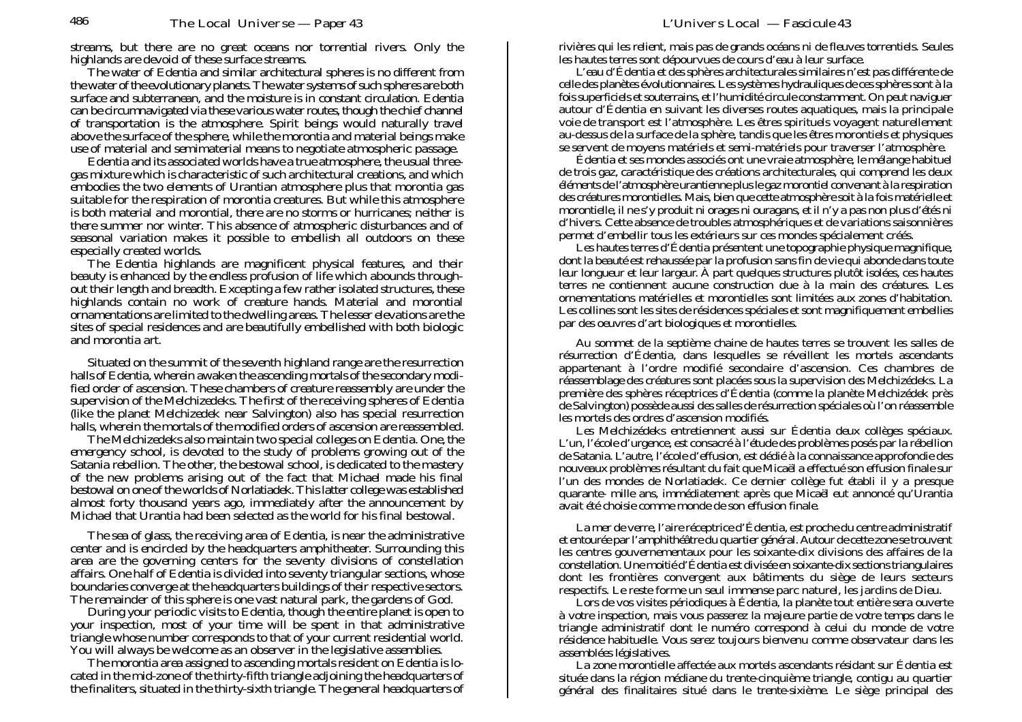streams, but there are no great oceans nor torrential rivers. Only the highlands are devoid of these surface streams.

The water of Edentia and similar architectural spheres is no different from the water of the evolutionary planets. The water systems of such spheres are both surface and subterranean, and the moisture is in constant circulation. Edentia can be circumnavigated via these various water routes, though the chief channel of transportation is the atmosphere. Spirit beings would naturally travel above the surface of the sphere, while the morontia and material beings make use of material and semimaterial means to negotiate atmospheric passage.

Edentia and its associated worlds have a true atmosphere, the usual threegas mixture which is characteristic of such architectural creations, and which embodies the two elements of Urantian atmosphere plus that morontia gas suitable for the respiration of morontia creatures. But while this atmosphere is both material and morontial, there are no storms or hurricanes; neither is there summer nor winter. This absence of atmospheric disturbances and of seasonal variation makes it possible to embellish all outdoors on these especially created worlds.

The Edentia highlands are magnificent physical features, and their beauty is enhanced by the endless profusion of life which abounds throughout their length and breadth. Excepting a few rather isolated structures, these highlands contain no work of creature hands. Material and morontial ornamentations are limited to the dwelling areas. The lesser elevations are the sites of special residences and are beautifully embellished with both biologic and morontia art.

Situated on the summit of the seventh highland range are the resurrection halls of Edentia, wherein awaken the ascending mortals of the secondary modified order of ascension. These chambers of creature reassembly are under the supervision of the Melchizedeks. The first of the receiving spheres of Edentia (like the planet Melchizedek near Salvington) also has special resurrection halls, wherein the mortals of the modified orders of ascension are reassembled.

The Melchizedeks also maintain two special colleges on Edentia. One, the emergency school, is devoted to the study of problems growing out of the Satania rebellion. The other, the bestowal school, is dedicated to the mastery of the new problems arising out of the fact that Michael made his final bestowal on one of the worlds of Norlatiadek. This latter college was established almost forty thousand years ago, immediately after the announcement by Michael that Urantia had been selected as the world for his final bestowal.

The sea of glass, the receiving area of Edentia, is near the administrative center and is encircled by the headquarters amphitheater. Surrounding this area are the governing centers for the seventy divisions of constellation affairs. One half of Edentia is divided into seventy triangular sections, whose boundaries converge at the headquarters buildings of their respective sectors. The remainder of this sphere is one vast natural park, the gardens of God.

During your periodic visits to Edentia, though the entire planet is open to your inspection, most of your time will be spent in that administrative triangle whose number corresponds to that of your current residential world. You will always be welcome as an observer in the legislative assemblies.

The morontia area assigned to ascending mortals resident on Edentia is located in the mid-zone of the thirty-fifth triangle adjoining the headquarters of the finaliters, situated in the thirty-sixth triangle. The general headquarters of rivières qui les relient, mais pas de grands océans ni de fleuves torrentiels. Seules

les hautes terres sont dépourvues de cours d'eau à leur surface. L'eau d'Édentia et des sphères architecturales similaires n'est pas différente de celle des planètes évolutionnaires. Les systèmes hydrauliques de ces sphères sont à la fois superficiels et souterrains, et l'humidité circule constamment. On peut naviguer autour d'Édentia en suivant les diverses routes aquatiques, mais la principale voie de transport est l'atmosphère. Les êtres spirituels voyagent naturellement au-dessus de la surface de la sphère, tandis que les êtres morontiels et physiques

se servent de moyens matériels et semi-matériels pour traverser l'atmosphère. Édentia et ses mondes associés ont une vraie atmosphère, le mélange habituel de trois gaz, caractéristique des créations architecturales, qui comprend les deux éléments de l'atmosphère urantienne plus le gaz morontiel convenant à la respiration des créatures morontielles. Mais, bien que cette atmosphère soit à la fois matérielle et morontielle, il ne s'y produit ni orages ni ouragans, et il n'y a pas non plus d'étés ni d'hivers. Cette absence de troubles atmosphériques et de variations saisonnières permet d'embellir tous les extérieurs sur ces mondes spécialement créés. Les hautes terres d'Édentia présentent une topographie physique magnifique,

dont la beauté est rehaussée par la profusion sans fin de vie qui abonde dans toute leur longueur et leur largeur. À part quelques structures plutôt isolées, ces hautes terres ne contiennent aucune construction due à la main des créatures. Les ornementations matérielles et morontielles sont limitées aux zones d'habitation. Les collines sont les sites de résidences spéciales et sont magnifiquement embellies par des oeuvres d'art biologiques et morontielles.

Au sommet de la septième chaine de hautes terres se trouvent les salles de résurrection d'Édentia, dans lesquelles se réveillent les mortels ascendants appartenant à l'ordre modifié secondaire d'ascension. Ces chambres de réassemblage des créatures sont placées sous la supervision des Melchizédeks. La première des sphères réceptrices d'Édentia (comme la planète Melchizédek près de Salvington) possède aussi des salles de résurrection spéciales où l'on réassemble les mortels des ordres d'ascension modifiés.

Les Melchizédeks entretiennent aussi sur Édentia deux collèges spéciaux. L'un, l'école d'urgence, est consacré à l'étude des problèmes posés par la rébellion de Satania. L'autre, l'école d'effusion, est dédié à la connaissance approfondie des nouveaux problèmes résultant du fait que Micaël a effectué son effusion finale sur l'un des mondes de Norlatiadek. Ce dernier collège fut établi il y a presque quarante- mille ans, immédiatement après que Micaël eut annoncé qu'Urantia avait été choisie comme monde de son effusion finale.

La mer de verre, l'aire réceptrice d'Édentia, est proche du centre administratif et entourée par l'amphithéâtre du quartier général. Autour de cette zone se trouvent les centres gouvernementaux pour les soixante-dix divisions des affaires de la constellation. Une moitié d'Édentia est divisée en soixante-dix sections triangulaires dont les frontières convergent aux bâtiments du siège de leurs secteurs

respectifs. Le reste forme un seul immense parc naturel, les jardins de Dieu. Lors de vos visites périodiques à Édentia, la planète tout entière sera ouverte à votre inspection, mais vous passerez la majeure partie de votre temps dans le triangle administratif dont le numéro correspond à celui du monde de votre résidence habituelle. Vous serez toujours bienvenu comme observateur dans les

La zone morontielle affectée aux mortels ascendants résidant sur Édentia est située dans la région médiane du trente-cinquième triangle, contigu au quartier général des finalitaires situé dans le trente-sixième. Le siège principal des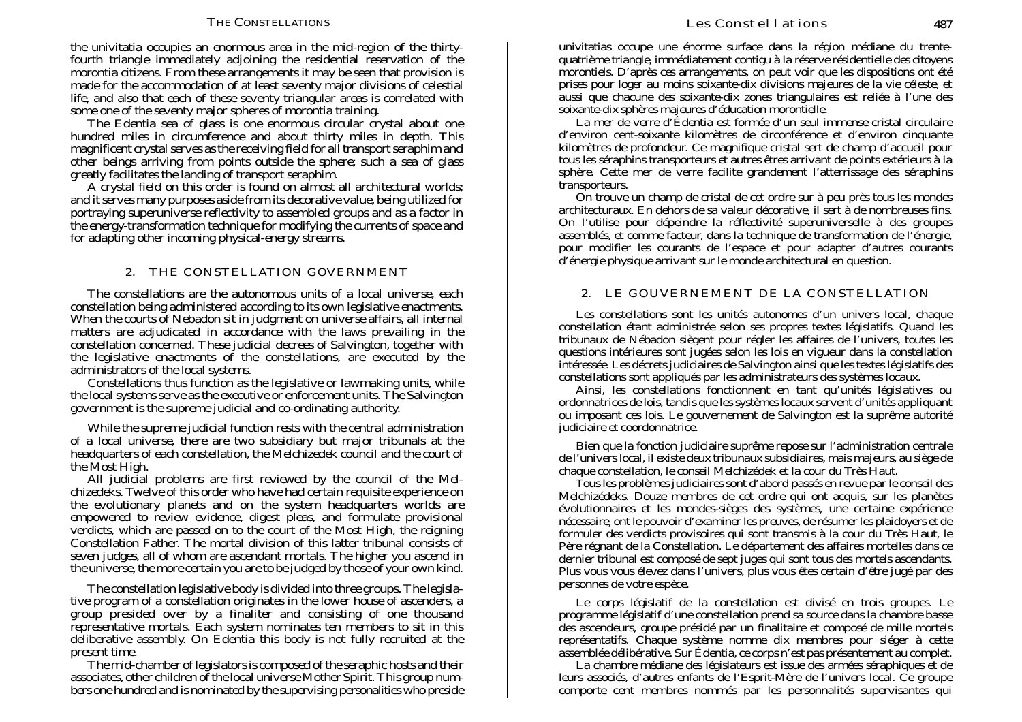the univitatia occupies an enormous area in the mid-region of the thirtyfourth triangle immediately adjoining the residential reservation of the morontia citizens. From these arrangements it may be seen that provision is made for the accommodation of at least seventy major divisions of celestial life, and also that each of these seventy triangular areas is correlated with some one of the seventy major spheres of morontia training.

The Edentia sea of glass is one enormous circular crystal about one hundred miles in circumference and about thirty miles in depth. This magnificent crystal serves as the receiving field for all transport seraphim and other beings arriving from points outside the sphere; such a sea of glass greatly facilitates the landing of transport seraphim.

A crystal field on this order is found on almost all architectural worlds; and it serves many purposes aside from its decorative value, being utilized for portraying superuniverse reflectivity to assembled groups and as a factor in the energy-transformation technique for modifying the currents of space and for adapting other incoming physical-energy streams.

#### 2. THE CONSTELLATION GOVERNMENT

The constellations are the autonomous units of a local universe, each constellation being administered according to its own legislative enactments. When the courts of Nebadon sit in judgment on universe affairs, all internal matters are adjudicated in accordance with the laws prevailing in the constellation concerned. These judicial decrees of Salvington, together with the legislative enactments of the constellations, are executed by the administrators of the local systems.

Constellations thus function as the legislative or lawmaking units, while the local systems serve as the executive or enforcement units. The Salvington government is the supreme judicial and co-ordinating authority.

While the supreme judicial function rests with the central administration of a local universe, there are two subsidiary but major tribunals at the headquarters of each constellation, the Melchizedek council and the court of the Most High.

All judicial problems are first reviewed by the council of the Melchizedeks. Twelve of this order who have had certain requisite experience on the evolutionary planets and on the system headquarters worlds are empowered to review evidence, digest pleas, and formulate provisional verdicts, which are passed on to the court of the Most High, the reigning Constellation Father. The mortal division of this latter tribunal consists of seven judges, all of whom are ascendant mortals. The higher you ascend in the universe, the more certain you are to be judged by those of your own kind.

The constellation legislative body is divided into three groups. The legislative program of a constellation originates in the lower house of ascenders, a group presided over by a finaliter and consisting of one thousand representative mortals. Each system nominates ten members to sit in this deliberative assembly. On Edentia this body is not fully recruited at the present time.

The mid-chamber of legislators is composed of the seraphic hosts and their associates, other children of the local universe Mother Spirit. This group numbers one hundred and is nominated by the supervising personalities who preside quatrième triangle, immédiatement contigu à la réserve résidentielle des citoyens morontiels. D'après ces arrangements, on peut voir que les dispositions ont été prises pour loger au moins soixante-dix divisions majeures de la vie céleste, et aussi que chacune des soixante-dix zones triangulaires est reliée à l'une des

La mer de verre d'Édentia est formée d'un seul immense cristal circulaire d'environ cent-soixante kilomètres de circonférence et d'environ cinquante kilomètres de profondeur. Ce magnifique cristal sert de champ d'accueil pour tous les séraphins transporteurs et autres êtres arrivant de points extérieurs à la sphère. Cette mer de verre facilite grandement l'atterrissage des séraphins transporteurs.

On trouve un champ de cristal de cet ordre sur à peu près tous les mondes architecturaux. En dehors de sa valeur décorative, il sert à de nombreuses fins. On l'utilise pour dépeindre la réflectivité superuniverselle à des groupes assemblés, et comme facteur, dans la technique de transformation de l'énergie, pour modifier les courants de l'espace et pour adapter d'autres courants d'énergie physique arrivant sur le monde architectural en question.

# 2. LE GOUVERNEMENT DE LA CONSTELLATION

Les constellations sont les unités autonomes d'un univers local, chaque constellation étant administrée selon ses propres textes législatifs. Quand les tribunaux de Nébadon siègent pour régler les affaires de l'univers, toutes les questions intérieures sont jugées selon les lois en vigueur dans la constellation intéressée. Les décrets judiciaires de Salvington ainsi que les textes législatifs des constellations sont appliqués par les administrateurs des systèmes locaux.

Ainsi, les constellations fonctionnent en tant qu'unités législatives ou ordonnatrices de lois, tandis que les systèmes locaux servent d'unités appliquant ou imposant ces lois. Le gouvernement de Salvington est la suprême autorité judiciaire et coordonnatrice.

Bien que la fonction judiciaire suprême repose sur l'administration centrale de l'univers local, il existe deux tribunaux subsidiaires, mais majeurs, au siège de chaque constellation, le conseil Melchizédek et la cour du Très Haut.

Tous les problèmes judiciaires sont d'abord passés en revue par le conseil des Melchizédeks. Douze membres de cet ordre qui ont acquis, sur les planètes évolutionnaires et les mondes-sièges des systèmes, une certaine expérience nécessaire, ont le pouvoir d'examiner les preuves, de résumer les plaidoyers et de formuler des verdicts provisoires qui sont transmis à la cour du Très Haut, le Père régnant de la Constellation. Le département des affaires mortelles dans ce dernier tribunal est composé de sept juges qui sont tous des mortels ascendants. Plus vous vous élevez dans l'univers, plus vous êtes certain d'être jugé par des personnes de votre espèce.

Le corps législatif de la constellation est divisé en trois groupes. Le programme législatif d'une constellation prend sa source dans la chambre basse des ascendeurs, groupe présidé par un finalitaire et composé de mille mortels représentatifs. Chaque système nomme dix membres pour siéger à cette assemblée délibérative. Sur Édentia, ce corps n'est pas présentement au complet.

La chambre médiane des législateurs est issue des armées séraphiques et de leurs associés, d'autres enfants de l'Esprit-Mère de l'univers local. Ce groupe comporte cent membres nommés par les personnalités supervisantes qui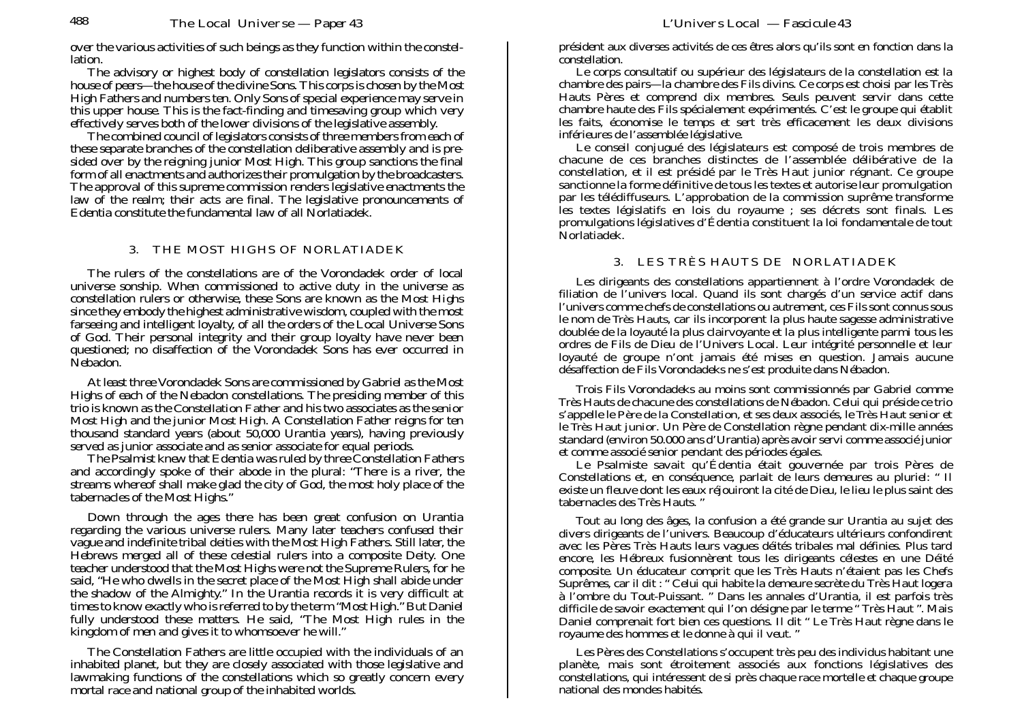over the various activities of such beings as they function within the constellation.

The advisory or highest body of constellation legislators consists of the house of peers—the house of the divine Sons. This corps is chosen by the Most High Fathers and numbers ten. Only Sons of special experience may serve in this upper house. This is the fact-finding and timesaving group which very effectively serves both of the lower divisions of the legislative assembly.

The combined council of legislators consists of three members from each of these separate branches of the constellation deliberative assembly and is presided over by the reigning junior Most High. This group sanctions the final form of all enactments and authorizes their promulgation by the broadcasters. The approval of this supreme commission renders legislative enactments the law of the realm; their acts are final. The legislative pronouncements of Edentia constitute the fundamental law of all Norlatiadek.

# 3. THE MOST HIGHS OF NORLATIADEK

The rulers of the constellations are of the Vorondadek order of local universe sonship. When commissioned to active duty in the universe as constellation rulers or otherwise, these Sons are known as the *Most Highs* since they embody the highest administrative wisdom, coupled with the most farseeing and intelligent loyalty, of all the orders of the Local Universe Sons of God. Their personal integrity and their group loyalty have never been questioned; no disaffection of the Vorondadek Sons has ever occurred in Nebadon.

At least three Vorondadek Sons are commissioned by Gabriel as the Most Highs of each of the Nebadon constellations. The presiding member of this trio is known as the *Constellation Father* and his two associates as the *senior Most High* and the *junior Most High.* A Constellation Father reigns for ten thousand standard years (about 50,000 Urantia years), having previously served as junior associate and as senior associate for equal periods.

The Psalmist knew that Edentia was ruled by three Constellation Fathers and accordingly spoke of their abode in the plural: "There is a river, the streams whereof shall make glad the city of God, the most holy place of the tabernacles of the Most Highs."

Down through the ages there has been great confusion on Urantia regarding the various universe rulers. Many later teachers confused their vague and indefinite tribal deities with the Most High Fathers. Still later, the Hebrews merged all of these celestial rulers into a composite Deity. One teacher understood that the Most Highs were not the Supreme Rulers, for he said, "He who dwells in the secret place of the Most High shall abide under the shadow of the Almighty." In the Urantia records it is very difficult at times to know exactly who is referred to by the term "Most High." But Daniel fully understood these matters. He said, "The Most High rules in the kingdom of men and gives it to whomsoever he will."

The Constellation Fathers are little occupied with the individuals of an inhabited planet, but they are closely associated with those legislative and lawmaking functions of the constellations which so greatly concern every mortal *race* and national *group* of the inhabited worlds.

président aux diverses activités de ces êtres alors qu'ils sont en fonction dans la constellation.

Le corps consultatif ou supérieur des législateurs de la constellation est la chambre des pairs—la chambre des Fils divins. Ce corps est choisi par les Très Hauts Pères et comprend dix membres. Seuls peuvent servir dans cette chambre haute des Fils spécialement expérimentés. C'est le groupe qui établit les faits, économise le temps et sert très efficacement les deux divisions inférieures de l'assemblée législative.

Le conseil conjugué des législateurs est composé de trois membres de chacune de ces branches distinctes de l'assemblée délibérative de la constellation, et il est présidé par le Très Haut junior régnant. Ce groupe sanctionne la forme définitive de tous les textes et autorise leur promulgation par les télédiffuseurs. L'approbation de la commission suprême transforme les textes législatifs en lois du royaume ; ses décrets sont finals. Les promulgations législatives d'Édentia constituent la loi fondamentale de tout Norlatiadek.

# 3. LES TRÈS HAUTS DE NORLATIADEK

Les dirigeants des constellations appartiennent à l'ordre Vorondadek de filiation de l'univers local. Quand ils sont chargés d'un service actif dans l'univers comme chefs de constellations ou autrement, ces Fils sont connus sous le nom de *Très Hauts*, car ils incorporent la plus haute sagesse administrative doublée de la loyauté la plus clairvoyante et la plus intelligente parmi tous les ordres de Fils de Dieu de l'Univers Local. Leur intégrité personnelle et leur loyauté de groupe n'ont jamais été mises en question. Jamais aucune désaffection de Fils Vorondadeks ne s'est produite dans Nébadon.

Trois Fils Vorondadeks au moins sont commissionnés par Gabriel comme Très Hauts de chacune des constellations de Nébadon. Celui qui préside ce trio s'appelle le *Père de la Constellation,* et ses deux associés, le *Très Haut senior* et le *Très Haut junior*. Un Père de Constellation règne pendant dix-mille années standard (environ 50.000 ans d'Urantia) après avoir servi comme associé junior

Le Psalmiste savait qu'Édentia était gouvernée par trois Pères de Constellations et, en conséquence, parlait de leurs demeures au pluriel: " Il existe un fleuve dont les eaux réjouiront la cité de Dieu, le lieu le plus saint des tabernacles des Très Hauts. "

Tout au long des âges, la confusion a été grande sur Urantia au sujet des divers dirigeants de l'univers. Beaucoup d'éducateurs ultérieurs confondirent avec les Pères Très Hauts leurs vagues déités tribales mal définies. Plus tard encore, les Hébreux fusionnèrent tous les dirigeants célestes en une Déité composite. Un éducateur comprit que les Très Hauts n'étaient pas les Chefs Suprêmes, car il dit : " Celui qui habite la demeure secrète du Très Haut logera à l'ombre du Tout-Puissant. " Dans les annales d'Urantia, il est parfois très difficile de savoir exactement qui l'on désigne par le terme " Très Haut ". Mais Daniel comprenait fort bien ces questions. Il dit " Le Très Haut règne dans le royaume des hommes et le donne à qui il veut. "

Les Pères des Constellations s'occupent très peu des individus habitant une planète, mais sont étroitement associés aux fonctions législatives des constellations, qui intéressent de si près chaque *race* mortelle et chaque *groupe* national des mondes habités.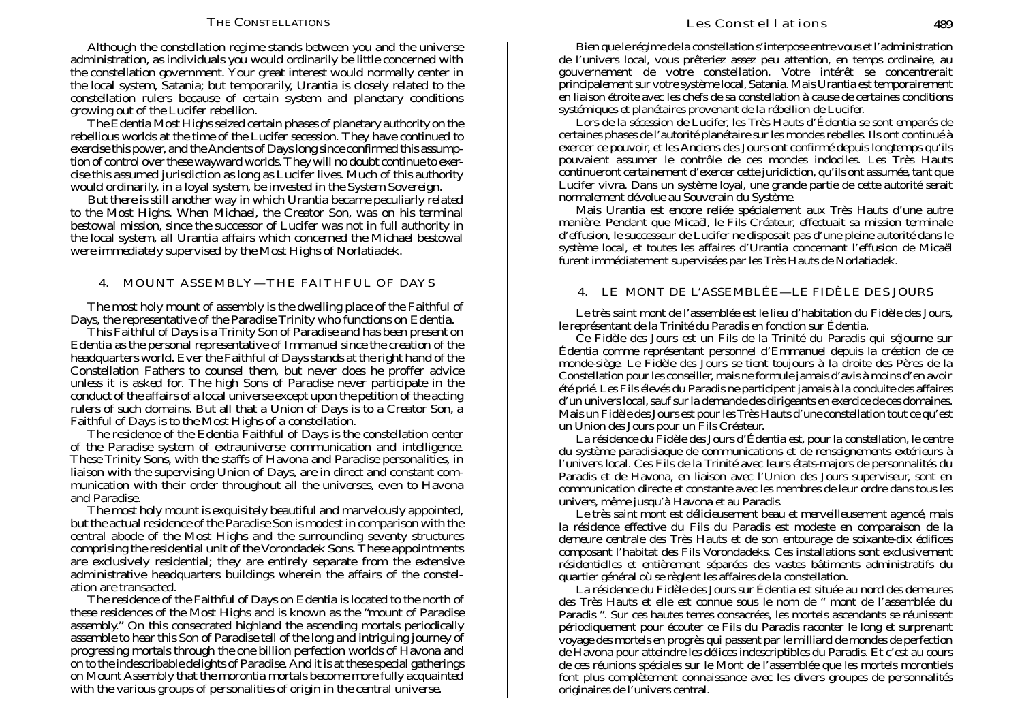Although the constellation regime stands between you and the universe administration, as individuals you would ordinarily be little concerned with the constellation government. Your great interest would normally center in the local system, Satania; but temporarily, Urantia is closely related to the constellation rulers because of certain system and planetary conditions growing out of the Lucifer rebellion.

The Edentia Most Highs seized certain phases of planetary authority on the rebellious worlds at the time of the Lucifer secession. They have continued to exercise this power, and the Ancients of Days long since confirmed this assumption of control over these wayward worlds. They will no doubt continue to exercise this assumed jurisdiction as long as Lucifer lives. Much of this authority would ordinarily, in a loyal system, be invested in the System Sovereign.

But there is still another way in which Urantia became peculiarly related to the Most Highs. When Michael, the Creator Son, was on his terminal bestowal mission, since the successor of Lucifer was not in full authority in the local system, all Urantia affairs which concerned the Michael bestowal were immediately supervised by the Most Highs of Norlatiadek.

#### 4. MOUNT ASSEMBLY—THE FAITHFUL OF DAYS

The most holy mount of assembly is the dwelling place of the Faithful of Days, the representative of the Paradise Trinity who functions on Edentia.

This Faithful of Days is a Trinity Son of Paradise and has been present on Edentia as the personal representative of Immanuel since the creation of the headquarters world. Ever the Faithful of Days stands at the right hand of the Constellation Fathers to counsel them, but never does he proffer advice unless it is asked for. The high Sons of Paradise never participate in the conduct of the affairs of a local universe except upon the petition of the acting rulers of such domains. But all that a Union of Days is to a Creator Son, a Faithful of Days is to the Most Highs of a constellation.

The residence of the Edentia Faithful of Days is the constellation center of the Paradise system of extrauniverse communication and intelligence. These Trinity Sons, with the staffs of Havona and Paradise personalities, in liaison with the supervising Union of Days, are in direct and constant communication with their order throughout all the universes, even to Havona and Paradise.

The most holy mount is exquisitely beautiful and marvelously appointed, but the actual residence of the Paradise Son is modest in comparison with the central abode of the Most Highs and the surrounding seventy structures comprising the residential unit of the Vorondadek Sons. These appointments are exclusively residential; they are entirely separate from the extensive administrative headquarters buildings wherein the affairs of the constelation are transacted.

The residence of the Faithful of Days on Edentia is located to the north of these residences of the Most Highs and is known as the "mount of Paradise assembly." On this consecrated highland the ascending mortals periodically assemble to hear this Son of Paradise tell of the long and intriguing journey of progressing mortals through the one billion perfection worlds of Havona and on to the indescribable delights of Paradise. And it is at these special gatherings on Mount Assembly that the morontia mortals become more fully acquainted with the various groups of personalities of origin in the central universe.

Bien que le régime de la constellation s'interpose entre vous et l'administration de l'univers local, vous prêteriez assez peu attention, en temps ordinaire, au gouvernement de votre constellation. Votre intérêt se concentrerait principalement sur votre système local, Satania. Mais Urantia est temporairement en liaison étroite avec les chefs de sa constellation à cause de certaines conditions systémiques et planétaires provenant de la rébellion de Lucifer. Lors de la sécession de Lucifer, les Très Hauts d'Édentia se sont emparés de

certaines phases de l'autorité planétaire sur les mondes rebelles. Ils ont continué à exercer ce pouvoir, et les Anciens des Jours ont confirmé depuis longtemps qu'ils pouvaient assumer le contrôle de ces mondes indociles. Les Très Hauts continueront certainement d'exercer cette juridiction, qu'ils ont assumée, tant que Lucifer vivra. Dans un système loyal, une grande partie de cette autorité serait normalement dévolue au Souverain du Système.

Mais Urantia est encore reliée spécialement aux Très Hauts d'une autre manière. Pendant que Micaël, le Fils Créateur, effectuait sa mission terminale d'effusion, le successeur de Lucifer ne disposait pas d'une pleine autorité dans le système local, et toutes les affaires d'Urantia concernant l'effusion de Micaël furent immédiatement supervisées par les Très Hauts de Norlatiadek.

#### 4. LE MONT DE L'ASSEMBLÉE—LE FIDÈLE DES JOURS

Le très saint mont de l'assemblée est le lieu d'habitation du Fidèle des Jours, le représentant de la Trinité du Paradis en fonction sur Édentia.

Ce Fidèle des Jours est un Fils de la Trinité du Paradis qui séjourne sur Édentia comme représentant personnel d'Emmanuel depuis la création de ce monde-siège. Le Fidèle des Jours se tient toujours à la droite des Pères de la Constellation pour les conseiller, mais ne formule jamais d'avis à moins d'en avoir été prié. Les Fils élevés du Paradis ne participent jamais à la conduite des affaires d'un univers local, sauf sur la demande des dirigeants en exercice de ces domaines. Mais un Fidèle des Jours est pour les Très Hauts d'une constellation tout ce qu'est un Union des Jours pour un Fils Créateur. La résidence du Fidèle des Jours d'Édentia est, pour la constellation, le centre

du système paradisiaque de communications et de renseignements extérieurs à l'univers local. Ces Fils de la Trinité avec leurs états-majors de personnalités du Paradis et de Havona, en liaison avec l'Union des Jours superviseur, sont en communication directe et constante avec les membres de leur ordre dans tous les univers, même jusqu'à Havona et au Paradis.

Le très saint mont est délicieusement beau et merveilleusement agencé, mais la résidence effective du Fils du Paradis est modeste en comparaison de la demeure centrale des Très Hauts et de son entourage de soixante-dix édifices composant l'habitat des Fils Vorondadeks. Ces installations sont exclusivement résidentielles et entièrement séparées des vastes bâtiments administratifs du

La résidence du Fidèle des Jours sur Édentia est située au nord des demeures des Très Hauts et elle est connue sous le nom de " mont de l'assemblée du Paradis ". Sur ces hautes terres consacrées, les mortels ascendants se réunissent périodiquement pour écouter ce Fils du Paradis raconter le long et surprenant voyage des mortels en progrès qui passent par le milliard de mondes de perfection de Havona pour atteindre les délices indescriptibles du Paradis. Et c'est au cours de ces réunions spéciales sur le Mont de l'assemblée que les mortels morontiels font plus complètement connaissance avec les divers groupes de personnalités originaires de l'univers central.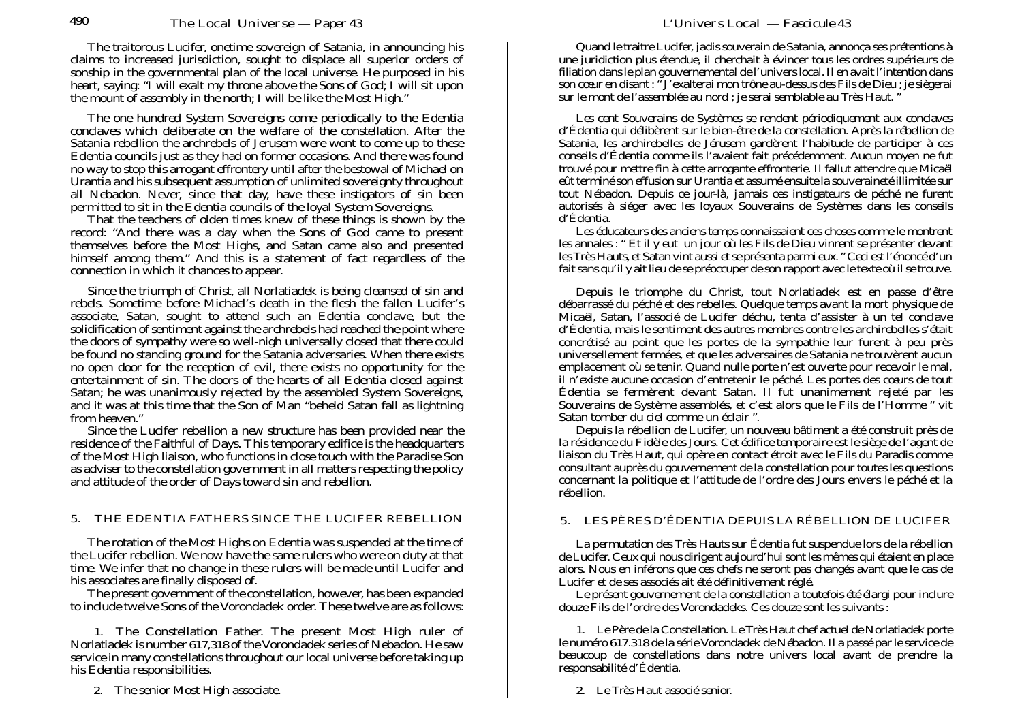The traitorous Lucifer, onetime sovereign of Satania, in announcing his claims to increased jurisdiction, sought to displace all superior orders of sonship in the governmental plan of the local universe. He purposed in his heart, saying: "I will exalt my throne above the Sons of God; I will sit upon the mount of assembly in the north; I will be like the Most High."

The one hundred System Sovereigns come periodically to the Edentia conclaves which deliberate on the welfare of the constellation. After the Satania rebellion the archrebels of Jerusem were wont to come up to these Edentia councils just as they had on former occasions. And there was found no way to stop this arrogant effrontery until after the bestowal of Michael on Urantia and his subsequent assumption of unlimited sovereignty throughout all Nebadon. Never, since that day, have these instigators of sin been permitted to sit in the Edentia councils of the loyal System Sovereigns.

That the teachers of olden times knew of these things is shown by the record: "And there was a day when the Sons of God came to present themselves before the Most Highs, and Satan came also and presented himself among them." And this is a statement of fact regardless of the connection in which it chances to appear.

Since the triumph of Christ, all Norlatiadek is being cleansed of sin and rebels. Sometime before Michael's death in the flesh the fallen Lucifer's associate, Satan, sought to attend such an Edentia conclave, but the solidification of sentiment against the archrebels had reached the point where the doors of sympathy were so well-nigh universally closed that there could be found no standing ground for the Satania adversaries. When there exists no open door for the reception of evil, there exists no opportunity for the entertainment of sin. The doors of the hearts of all Edentia closed against Satan; he was unanimously rejected by the assembled System Sovereigns, and it was at this time that the Son of Man "beheld Satan fall as lightning from heaven."

Since the Lucifer rebellion a new structure has been provided near the residence of the Faithful of Days. This temporary edifice is the headquarters of the Most High liaison, who functions in close touch with the Paradise Son as adviser to the constellation government in all matters respecting the policy and attitude of the order of Days toward sin and rebellion.

# 5. THE EDENTIA FATHERS SINCE THE LUCIFER REBELLION

The rotation of the Most Highs on Edentia was suspended at the time of the Lucifer rebellion. We now have the same rulers who were on duty at that time. We infer that no change in these rulers will be made until Lucifer and his associates are finally disposed of.

The present government of the constellation, however, has been expanded to include twelve Sons of the Vorondadek order. These twelve are as follows:

1. The Constellation Father. The present Most High ruler of Norlatiadek is number 617,318 of the Vorondadek series of Nebadon. He saw service in many constellations throughout our local universe before taking up his Edentia responsibilities.

2. The senior Most High associate.

Quand le traitre Lucifer, jadis souverain de Satania, annonça ses prétentions à une juridiction plus étendue, il cherchait à évincer tous les ordres supérieurs de filiation dans le plan gouvernemental de l'univers local. Il en avait l'intention dans son cœur en disant : " J'exalterai mon trône au-dessus des Fils de Dieu ; je siègerai sur le mont de l'assemblée au nord ; je serai semblable au Très Haut. "

Les cent Souverains de Systèmes se rendent périodiquement aux conclaves d'Édentia qui délibèrent sur le bien-être de la constellation. Après la rébellion de conseils d'Édentia comme ils l'avaient fait précédemment. Aucun moyen ne fut trouvé pour mettre fin à cette arrogante effronterie. Il fallut attendre que Micaël eût terminé son effusion sur Urantia et assumé ensuite la souveraineté illimitée sur tout Nébadon. Depuis ce jour-là, jamais ces instigateurs de péché ne furent autorisés à siéger avec les loyaux Souverains de Systèmes dans les conseils d'Édentia.

Les éducateurs des anciens temps connaissaient ces choses comme le montrent les annales : " Et il y eut un jour où les Fils de Dieu vinrent se présenter devant les Très Hauts, et Satan vint aussi et se présenta parmi eux. " Ceci est l'énoncé d'un fait sans qu'il y ait lieu de se préoccuper de son rapport avec le texte où il se trouve.

Depuis le triomphe du Christ, tout Norlatiadek est en passe d'être débarrassé du péché et des rebelles. Quelque temps avant la mort physique de Micaël, Satan, l'associé de Lucifer déchu, tenta d'assister à un tel conclave d'Édentia, mais le sentiment des autres membres contre les archirebelles s'était concrétisé au point que les portes de la sympathie leur furent à peu près universellement fermées, et que les adversaires de Satania ne trouvèrent aucun emplacement où se tenir. Quand nulle porte n'est ouverte pour recevoir le mal, il n'existe aucune occasion d'entretenir le péché. Les portes des cœurs de tout Édentia se fermèrent devant Satan. Il fut unanimement rejeté par les Souverains de Système assemblés, et c'est alors que le Fils de l'Homme " vit Satan tomber du ciel comme un éclair ".

Depuis la rébellion de Lucifer, un nouveau bâtiment a été construit près de la résidence du Fidèle des Jours. Cet édifice temporaire est le siège de l'agent de liaison du Très Haut, qui opère en contact étroit avec le Fils du Paradis comme consultant auprès du gouvernement de la constellation pour toutes les questions concernant la politique et l'attitude de l'ordre des Jours envers le péché et la rébellion.

# 5. LES PÈRES D'ÉDENTIA DEPUIS LA RÉBELLION DE LUCIFER

La permutation des Très Hauts sur Édentia fut suspendue lors de la rébellion de Lucifer. Ceux qui nous dirigent aujourd'hui sont les mêmes qui étaient en place alors. Nous en inférons que ces chefs ne seront pas changés avant que le cas de Lucifer et de ses associés ait été définitivement réglé.

Le présent gouvernement de la constellation a toutefois été élargi pour inclure douze Fils de l'ordre des Vorondadeks. Ces douze sont les suivants :

1. Le Père de la Constellation. Le Très Haut chef actuel de Norlatiadek porte le numéro 617.318 de la série Vorondadek de Nébadon. Il a passé par le service de beaucoup de constellations dans notre univers local avant de prendre la responsabilité d'Édentia.

2. Le Très Haut associé senior.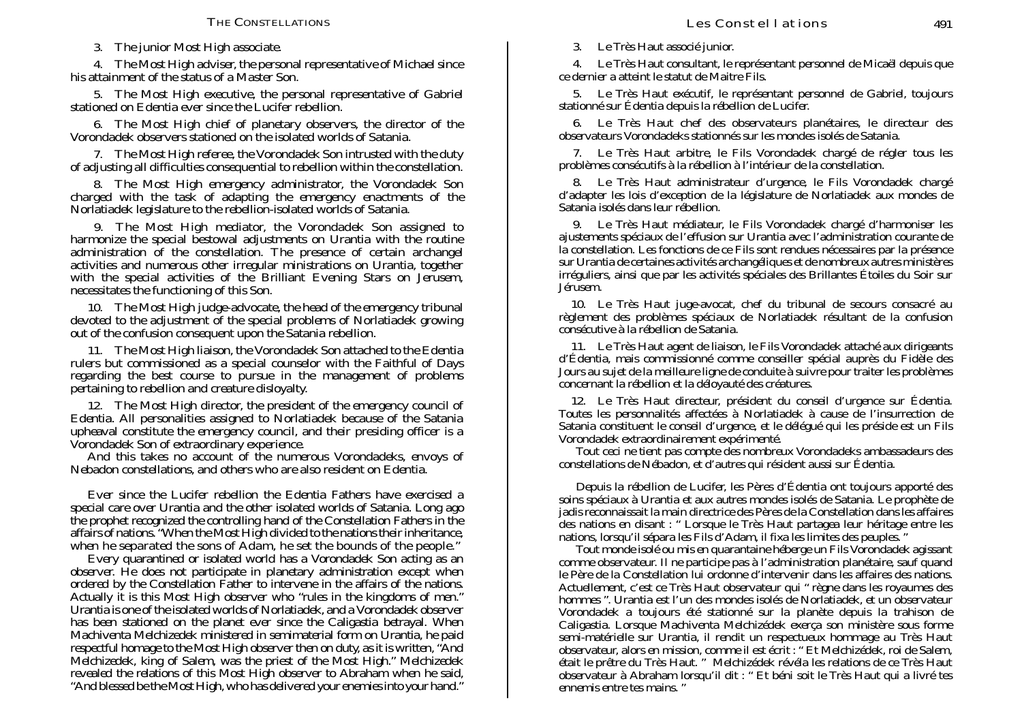3. The junior Most High associate.

4. The Most High adviser, the personal representative of Michael since his attainment of the status of a Master Son.

5. The Most High executive, the personal representative of Gabriel stationed on Edentia ever since the Lucifer rebellion.

6. The Most High chief of planetary observers, the director of the Vorondadek observers stationed on the isolated worlds of Satania.

7. The Most High referee, the Vorondadek Son intrusted with the duty of adjusting all difficulties consequential to rebellion within the constellation.

8. The Most High emergency administrator, the Vorondadek Son charged with the task of adapting the emergency enactments of the Norlatiadek legislature to the rebellion-isolated worlds of Satania.

9. The Most High mediator, the Vorondadek Son assigned to harmonize the special bestowal adjustments on Urantia with the routine administration of the constellation. The presence of certain archangel activities and numerous other irregular ministrations on Urantia, together with the special activities of the Brilliant Evening Stars on Jerusem, necessitates the functioning of this Son.

10. The Most High judge-advocate, the head of the emergency tribunal devoted to the adjustment of the special problems of Norlatiadek growing out of the confusion consequent upon the Satania rebellion.

11. The Most High liaison, the Vorondadek Son attached to the Edentia rulers but commissioned as a special counselor with the Faithful of Days regarding the best course to pursue in the management of problems pertaining to rebellion and creature disloyalty.

12. The Most High director, the president of the emergency council of Edentia. All personalities assigned to Norlatiadek because of the Satania upheaval constitute the emergency council, and their presiding officer is a Vorondadek Son of extraordinary experience.

And this takes no account of the numerous Vorondadeks, envoys of Nebadon constellations, and others who are also resident on Edentia.

Ever since the Lucifer rebellion the Edentia Fathers have exercised a special care over Urantia and the other isolated worlds of Satania. Long ago the prophet recognized the controlling hand of the Constellation Fathers in the affairs of nations. "When the Most High divided to the nations their inheritance, when he separated the sons of Adam, he set the bounds of the people."

Every quarantined or isolated world has a Vorondadek Son acting as an observer. He does not participate in planetary administration except when ordered by the Constellation Father to intervene in the affairs of the nations. Actually it is this Most High observer who "rules in the kingdoms of men." Urantia is one of the isolated worlds of Norlatiadek, and a Vorondadek observer has been stationed on the planet ever since the Caligastia betrayal. When Machiventa Melchizedek ministered in semimaterial form on Urantia, he paid respectful homage to the Most High observer then on duty, as it is written, "And Melchizedek, king of Salem, was the priest of the Most High." Melchizedek revealed the relations of this Most High observer to Abraham when he said, "And blessed be the Most High, who has delivered your enemies into your hand."

3. Le Très Haut associé junior.

4. Le Très Haut consultant, le représentant personnel de Micaël depuis que ce dernier a atteint le statut de Maitre Fils.

5. Le Très Haut exécutif, le représentant personnel de Gabriel, toujours stationné sur Édentia depuis la rébellion de Lucifer.

6. Le Très Haut chef des observateurs planétaires, le directeur des observateurs Vorondadeks stationnés sur les mondes isolés de Satania.

7. Le Très Haut arbitre, le Fils Vorondadek chargé de régler tous les problèmes consécutifs à la rébellion à l'intérieur de la constellation.

8. Le Très Haut administrateur d'urgence, le Fils Vorondadek chargé d'adapter les lois d'exception de la législature de Norlatiadek aux mondes de Satania isolés dans leur rébellion.

9. Le Très Haut médiateur, le Fils Vorondadek chargé d'harmoniser les ajustements spéciaux de l'effusion sur Urantia avec l'administration courante de la constellation. Les fonctions de ce Fils sont rendues nécessaires par la présence sur Urantia de certaines activités archangéliques et de nombreux autres ministères irréguliers, ainsi que par les activités spéciales des Brillantes Étoiles du Soir sur Jérusem.

10. Le Très Haut juge-avocat, chef du tribunal de secours consacré au règlement des problèmes spéciaux de Norlatiadek résultant de la confusion consécutive à la rébellion de Satania.

11. Le Très Haut agent de liaison, le Fils Vorondadek attaché aux dirigeants d'Édentia, mais commissionné comme conseiller spécial auprès du Fidèle des Jours au sujet de la meilleure ligne de conduite à suivre pour traiter les problèmes concernant la rébellion et la déloyauté des créatures.

12. Le Très Haut directeur, président du conseil d'urgence sur Édentia. Toutes les personnalités affectées à Norlatiadek à cause de l'insurrection de Satania constituent le conseil d'urgence, et le délégué qui les préside est un Fils Vorondadek extraordinairement expérimenté.

Tout ceci ne tient pas compte des nombreux Vorondadeks ambassadeurs des constellations de Nébadon, et d'autres qui résident aussi sur Édentia.

Depuis la rébellion de Lucifer, les Pères d'Édentia ont toujours apporté des soins spéciaux à Urantia et aux autres mondes isolés de Satania. Le prophète de jadis reconnaissait la main directrice des Pères de la Constellation dans les affaires des nations en disant : " Lorsque le Très Haut partagea leur héritage entre les nations, lorsqu'il sépara les Fils d'Adam, il fixa les limites des peuples. "

Tout monde isolé ou mis en quarantaine héberge un Fils Vorondadek agissant comme observateur. Il ne participe pas à l'administration planétaire, sauf quand le Père de la Constellation lui ordonne d'intervenir dans les affaires des nations. Actuellement, c'est ce Très Haut observateur qui " règne dans les royaumes des hommes ". Urantia est l'un des mondes isolés de Norlatiadek, et un observateur Vorondadek a toujours été stationné sur la planète depuis la trahison de Caligastia. Lorsque Machiventa Melchizédek exerça son ministère sous forme semi-matérielle sur Urantia, il rendit un respectueux hommage au Très Haut observateur, alors en mission, comme il est écrit : " Et Melchizédek, roi de Salem, était le prêtre du Très Haut. " Melchizédek révéla les relations de ce Très Haut observateur à Abraham lorsqu'il dit : " Et béni soit le Très Haut qui a livré tes ennemis entre tes mains. "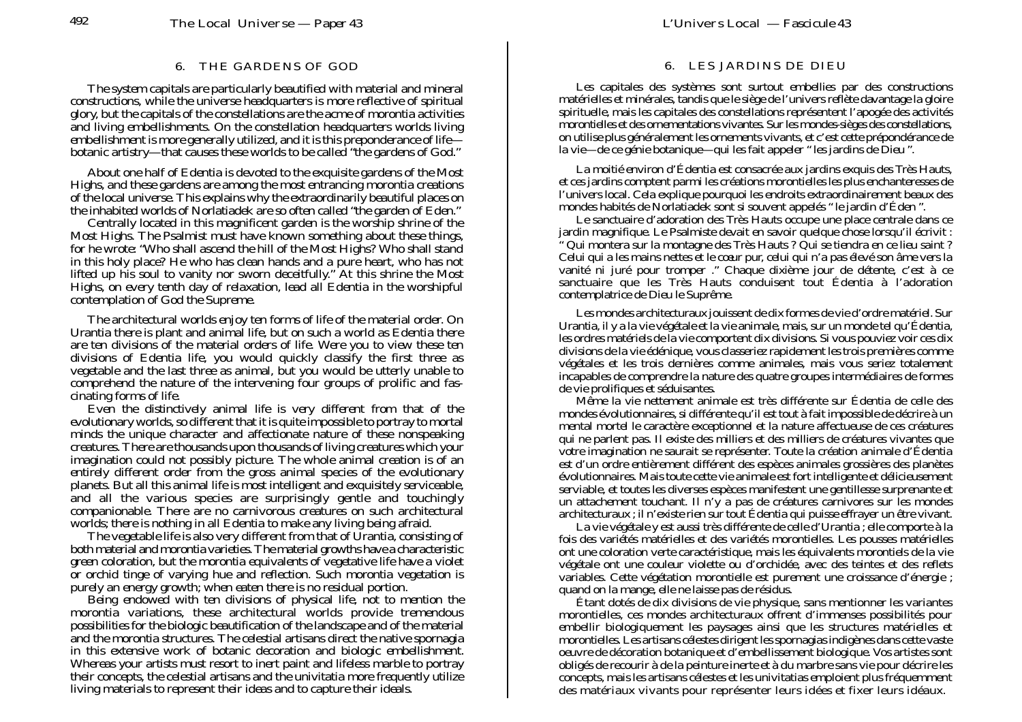### 6. THE GARDENS OF GOD

The system capitals are particularly beautified with material and mineral constructions, while the universe headquarters is more reflective of spiritual glory, but the capitals of the constellations are the acme of morontia activities and living embellishments. On the constellation headquarters worlds living embellishment is more generally utilized, and it is this preponderance of life botanic artistry—that causes these worlds to be called "the gardens of God."

About one half of Edentia is devoted to the exquisite gardens of the Most Highs, and these gardens are among the most entrancing morontia creations of the local universe. This explains why the extraordinarily beautiful places on the inhabited worlds of Norlatiadek are so often called "the garden of Eden."

Centrally located in this magnificent garden is the worship shrine of the Most Highs. The Psalmist must have known something about these things, for he wrote: "Who shall ascend the hill of the Most Highs? Who shall stand in this holy place? He who has clean hands and a pure heart, who has not lifted up his soul to vanity nor sworn deceitfully." At this shrine the Most Highs, on every tenth day of relaxation, lead all Edentia in the worshipful contemplation of God the Supreme.

The architectural worlds enjoy ten forms of life of the material order. On Urantia there is plant and animal life, but on such a world as Edentia there are ten divisions of the material orders of life. Were you to view these ten divisions of Edentia life, you would quickly classify the first three as vegetable and the last three as animal, but you would be utterly unable to comprehend the nature of the intervening four groups of prolific and fascinating forms of life.

Even the distinctively animal life is very different from that of the evolutionary worlds, so different that it is quite impossible to portray to mortal minds the unique character and affectionate nature of these nonspeaking creatures. There are thousands upon thousands of living creatures which your imagination could not possibly picture. The whole animal creation is of an entirely different order from the gross animal species of the evolutionary planets. But all this animal life is most intelligent and exquisitely serviceable, and all the various species are surprisingly gentle and touchingly companionable. There are no carnivorous creatures on such architectural worlds; there is nothing in all Edentia to make any living being afraid.

The vegetable life is also very different from that of Urantia, consisting of both material and morontia varieties. The material growths have a characteristic green coloration, but the morontia equivalents of vegetative life have a violet or orchid tinge of varying hue and reflection. Such morontia vegetation is purely an energy growth; when eaten there is no residual portion.

Being endowed with ten divisions of physical life, not to mention the morontia variations, these architectural worlds provide tremendous possibilities for the biologic beautification of the landscape and of the material and the morontia structures. The celestial artisans direct the native spornagia in this extensive work of botanic decoration and biologic embellishment. Whereas your artists must resort to inert paint and lifeless marble to portray their concepts, the celestial artisans and the univitatia more frequently utilize living materials to represent their ideas and to capture their ideals.

#### 6. LES JARDINS DE DIEU

Les capitales des systèmes sont surtout embellies par des constructions matérielles et minérales, tandis que le siège de l'univers reflète davantage la gloire spirituelle, mais les capitales des constellations représentent l'apogée des activités morontielles et des ornementations vivantes. Sur les mondes-sièges des constellations, on utilise plus généralement les ornements vivants, et c'est cette prépondérance de la vie—de ce génie botanique—qui les fait appeler " les jardins de Dieu ".

La moitié environ d'Édentia est consacrée aux jardins exquis des Très Hauts, et ces jardins comptent parmi les créations morontielles les plus enchanteresses de l'univers local. Cela explique pourquoi les endroits extraordinairement beaux des mondes habités de Norlatiadek sont si souvent appelés " le jardin d'Éden ".

Le sanctuaire d'adoration des Très Hauts occupe une place centrale dans ce jardin magnifique. Le Psalmiste devait en savoir quelque chose lorsqu'il écrivit : " Qui montera sur la montagne des Très Hauts ? Qui se tiendra en ce lieu saint ? Celui qui a les mains nettes et le cœur pur, celui qui n'a pas élevé son âme vers la vanité ni juré pour tromper ." Chaque dixième jour de détente, c'est à ce sanctuaire que les Très Hauts conduisent tout Édentia à l'adoration contemplatrice de Dieu le Suprême.

Les mondes architecturaux jouissent de dix formes de vie d'ordre matériel. Sur Urantia, il y a la vie végétale et la vie animale, mais, sur un monde tel qu'Édentia, les ordres matériels de la vie comportent dix divisions. Si vous pouviez voir ces dix divisions de la vie édénique, vous classeriez rapidement les trois premières comme végétales et les trois dernières comme animales, mais vous seriez totalement incapables de comprendre la nature des quatre groupes intermédiaires de formes

Même la vie nettement animale est très différente sur Édentia de celle des mondes évolutionnaires, si différente qu'il est tout à fait impossible de décrire à un mental mortel le caractère exceptionnel et la nature affectueuse de ces créatures qui ne parlent pas. Il existe des milliers et des milliers de créatures vivantes que votre imagination ne saurait se représenter. Toute la création animale d'Édentia est d'un ordre entièrement différent des espèces animales grossières des planètes évolutionnaires. Mais toute cette vie animale est fort intelligente et délicieusement serviable, et toutes les diverses espèces manifestent une gentillesse surprenante et un attachement touchant. Il n'y a pas de créatures carnivores sur les mondes architecturaux ; il n'existe rien sur tout Édentia qui puisse effrayer un être vivant.

La vie végétale y est aussi très différente de celle d'Urantia ; elle comporte à la fois des variétés matérielles et des variétés morontielles. Les pousses matérielles ont une coloration verte caractéristique, mais les équivalents morontiels de la vie végétale ont une couleur violette ou d'orchidée, avec des teintes et des reflets variables. Cette végétation morontielle est purement une croissance d'énergie ; quand on la mange, elle ne laisse pas de résidus. Étant dotés de dix divisions de vie physique, sans mentionner les variantes

morontielles, ces mondes architecturaux offrent d'immenses possibilités pour embellir biologiquement les paysages ainsi que les structures matérielles et morontielles. Les artisans célestes dirigent les spornagias indigènes dans cette vaste oeuvre de décoration botanique et d'embellissement biologique. Vos artistes sont obligés de recourir à de la peinture inerte et à du marbre sans vie pour décrire les concepts, mais les artisans célestes et les univitatias emploient plus fréquemment des matériaux vivants pour représenter leurs idées et fixer leurs idéaux.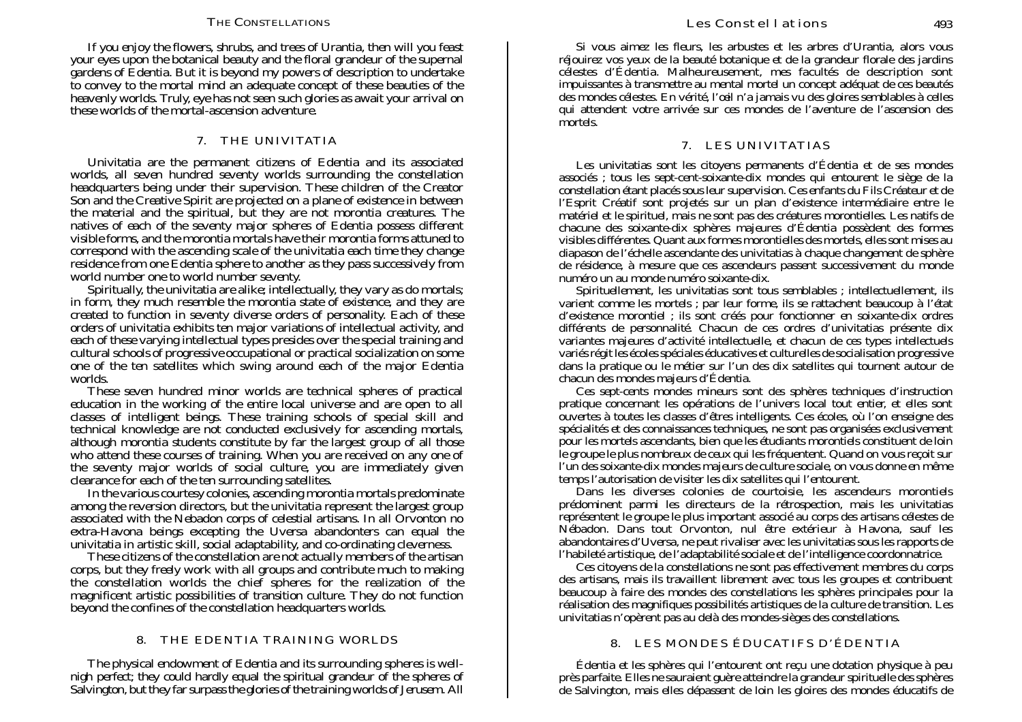If you enjoy the flowers, shrubs, and trees of Urantia, then will you feast your eyes upon the botanical beauty and the floral grandeur of the supernal gardens of Edentia. But it is beyond my powers of description to undertake to convey to the mortal mind an adequate concept of these beauties of the heavenly worlds. Truly, eye has not seen such glories as await your arrival on these worlds of the mortal-ascension adventure.

#### 7. THE UNIVITATIA

Univitatia are the permanent citizens of Edentia and its associated worlds, all seven hundred seventy worlds surrounding the constellation headquarters being under their supervision. These children of the Creator Son and the Creative Spirit are projected on a plane of existence in between the material and the spiritual, but they are not morontia creatures. The natives of each of the seventy major spheres of Edentia possess different visible forms, and the morontia mortals have their morontia forms attuned to correspond with the ascending scale of the univitatia each time they change residence from one Edentia sphere to another as they pass successively from world number one to world number seventy.

Spiritually, the univitatia are alike; intellectually, they vary as do mortals; in form, they much resemble the morontia state of existence, and they are created to function in seventy diverse orders of personality. Each of these orders of univitatia exhibits ten major variations of intellectual activity, and each of these varying intellectual types presides over the special training and cultural schools of progressive occupational or practical socialization on some one of the ten satellites which swing around each of the major Edentia worlds.

These seven hundred minor worlds are technical spheres of practical education in the working of the entire local universe and are open to all classes of intelligent beings. These training schools of special skill and technical knowledge are not conducted exclusively for ascending mortals, although morontia students constitute by far the largest group of all those who attend these courses of training. When you are received on any one of the seventy major worlds of social culture, you are immediately given clearance for each of the ten surrounding satellites.

In the various courtesy colonies, ascending morontia mortals predominate among the reversion directors, but the univitatia represent the largest group associated with the Nebadon corps of celestial artisans. In all Orvonton no extra-Havona beings excepting the Uversa abandonters can equal the univitatia in artistic skill, social adaptability, and co-ordinating cleverness.

These citizens of the constellation are not actually members of the artisan corps, but they freely work with all groups and contribute much to making the constellation worlds the chief spheres for the realization of the magnificent artistic possibilities of transition culture. They do not function beyond the confines of the constellation headquarters worlds.

## 8. THE EDENTIA TRAINING WORLDS

The physical endowment of Edentia and its surrounding spheres is wellnigh perfect; they could hardly equal the spiritual grandeur of the spheres of Salvington, but they far surpass the glories of the training worlds of Jerusem. All

Si vous aimez les fleurs, les arbustes et les arbres d'Urantia, alors vous réjouirez vos yeux de la beauté botanique et de la grandeur florale des jardins célestes d'Édentia. Malheureusement, mes facultés de description sont impuissantes à transmettre au mental mortel un concept adéquat de ces beautés des mondes célestes. En vérité, l'œil n'a jamais vu des gloires semblables à celles qui attendent votre arrivée sur ces mondes de l'aventure de l'ascension des mortels.

#### 7. LES UNIVITATIAS

Les univitatias sont les citoyens permanents d'Édentia et de ses mondes associés ; tous les sept-cent-soixante-dix mondes qui entourent le siège de la constellation étant placés sous leur supervision. Ces enfants du Fils Créateur et de l'Esprit Créatif sont projetés sur un plan d'existence intermédiaire entre le matériel et le spirituel, mais ne sont pas des créatures morontielles. Les natifs de chacune des soixante-dix sphères majeures d'Édentia possèdent des formes visibles différentes. Quant aux formes morontielles des mortels, elles sont mises au diapason de l'échelle ascendante des univitatias à chaque changement de sphère de résidence, à mesure que ces ascendeurs passent successivement du monde numéro un au monde numéro soixante-dix.

Spirituellement, les univitatias sont tous semblables ; intellectuellement, ils varient comme les mortels ; par leur forme, ils se rattachent beaucoup à l'état d'existence morontiel ; ils sont créés pour fonctionner en soixante-dix ordres différents de personnalité. Chacun de ces ordres d'univitatias présente dix variantes majeures d'activité intellectuelle, et chacun de ces types intellectuels variés régit les écoles spéciales éducatives et culturelles de socialisation progressive dans la pratique ou le métier sur l'un des dix satellites qui tournent autour de chacun des mondes majeurs d'Édentia.

Ces sept-cents mondes mineurs sont des sphères techniques d'instruction pratique concernant les opérations de l'univers local tout entier, et elles sont ouvertes à toutes les classes d'êtres intelligents. Ces écoles, où l'on enseigne des spécialités et des connaissances techniques, ne sont pas organisées exclusivement pour les mortels ascendants, bien que les étudiants morontiels constituent de loin le groupe le plus nombreux de ceux qui les fréquentent. Quand on vous reçoit sur l'un des soixante-dix mondes majeurs de culture sociale, on vous donne en même temps l'autorisation de visiter les dix satellites qui l'entourent.

Dans les diverses colonies de courtoisie, les ascendeurs morontiels prédominent parmi les directeurs de la rétrospection, mais les univitatias représentent le groupe le plus important associé au corps des artisans célestes de Nébadon. Dans tout Orvonton, nul être extérieur à Havona, sauf les abandontaires d'Uversa, ne peut rivaliser avec les univitatias sous les rapports de l'habileté artistique, de l'adaptabilité sociale et de l'intelligence coordonnatrice.

Ces citoyens de la constellations ne sont pas effectivement membres du corps des artisans, mais ils travaillent librement avec tous les groupes et contribuent beaucoup à faire des mondes des constellations les sphères principales pour la réalisation des magnifiques possibilités artistiques de la culture de transition. Les univitatias n'opèrent pas au delà des mondes-sièges des constellations.

# 8. LES MONDES ÉDUCATIFS D'ÉDENTIA

Édentia et les sphères qui l'entourent ont reçu une dotation physique à peu près parfaite. Elles ne sauraient guère atteindre la grandeur spirituelle des sphères de Salvington, mais elles dépassent de loin les gloires des mondes éducatifs de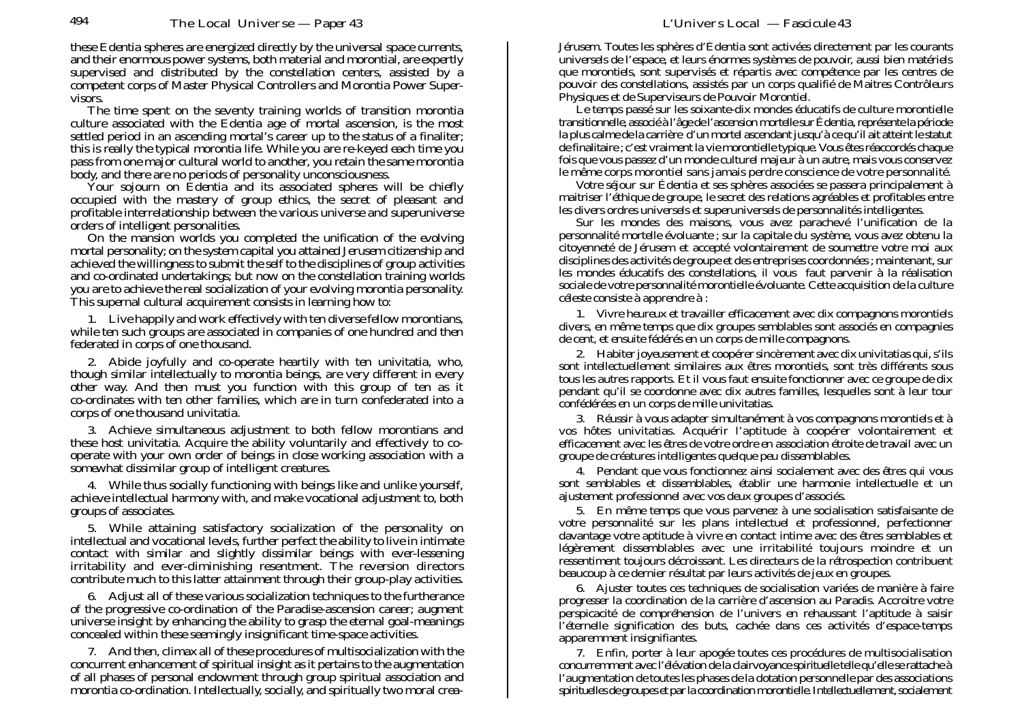these Edentia spheres are energized directly by the universal space currents, and their enormous power systems, both material and morontial, are expertly supervised and distributed by the constellation centers, assisted by a competent corps of Master Physical Controllers and Morontia Power Supervisors.

The time spent on the seventy training worlds of transition morontia culture associated with the Edentia age of mortal ascension, is the most settled period in an ascending mortal's career up to the status of a finaliter; this is really the typical morontia life. While you are re-keyed each time you pass from one major cultural world to another, you retain the same morontia body, and there are no periods of personality unconsciousness.

Your sojourn on Edentia and its associated spheres will be chiefly occupied with the mastery of group ethics, the secret of pleasant and profitable interrelationship between the various universe and superuniverse orders of intelligent personalities.

On the mansion worlds you completed the unification of the evolving mortal personality; on the system capital you attained Jerusem citizenship and achieved the willingness to submit the self to the disciplines of group activities and co-ordinated undertakings; but now on the constellation training worlds you are to achieve the real socialization of your evolving morontia personality. This supernal cultural acquirement consists in learning how to:

1. Live happily and work effectively with ten diverse fellow morontians, while ten such groups are associated in companies of one hundred and then federated in corps of one thousand.

2. Abide joyfully and co-operate heartily with ten univitatia, who, though similar intellectually to morontia beings, are very different in every other way. And then must you function with this group of ten as it co-ordinates with ten other families, which are in turn confederated into a corps of one thousand univitatia.

3. Achieve simultaneous adjustment to both fellow morontians and these host univitatia. Acquire the ability voluntarily and effectively to cooperate with your own order of beings in close working association with a somewhat dissimilar group of intelligent creatures.

4. While thus socially functioning with beings like and unlike yourself, achieve intellectual harmony with, and make vocational adjustment to, both groups of associates.

5. While attaining satisfactory socialization of the personality on intellectual and vocational levels, further perfect the ability to live in intimate contact with similar and slightly dissimilar beings with ever-lessening irritability and ever-diminishing resentment. The reversion directors contribute much to this latter attainment through their group-play activities.

6. Adjust all of these various socialization techniques to the furtherance of the progressive co-ordination of the Paradise-ascension career; augment universe insight by enhancing the ability to grasp the eternal goal-meanings concealed within these seemingly insignificant time-space activities.

7. And then, climax all of these procedures of multisocialization with the concurrent enhancement of spiritual insight as it pertains to the augmentation of all phases of personal endowment through group spiritual association and morontia co-ordination. Intellectually, socially, and spiritually two moral creaJérusem. Toutes les sphères d'Édentia sont activées directement par les courants universels de l'espace, et leurs énormes systèmes de pouvoir, aussi bien matériels que morontiels, sont supervisés et répartis avec compétence par les centres de pouvoir des constellations, assistés par un corps qualifié de Maitres Contrôleurs Physiques et de Superviseurs de Pouvoir Morontiel.<br>Le temps passé sur les soixante-dix mondes éducatifs de culture morontielle

transitionnelle, associé à l'âge de l'ascension mortelle sur Édentia, représente la période la plus calme de la carrière d'un mortel ascendant jusqu'à ce qu'il ait atteint le statut de finalitaire ; c'est vraiment la vie morontielle typique. Vous êtes réaccordés chaque fois que vous passez d'un monde culturel majeur à un autre, mais vous conservez

le même corps morontiel sans jamais perdre conscience de votre personnalité. Votre séjour sur Édentia et ses sphères associées se passera principalement à maitriser l'éthique de groupe, le secret des relations agréables et profitables entre les divers ordres universels et superuniversels de personnalités intelligentes.

Sur les mondes des maisons, vous avez parachevé l'unification de la personnalité mortelle évoluante ; sur la capitale du système, vous avez obtenu la citoyenneté de Jérusem et accepté volontairement de soumettre votre moi aux disciplines des activités de groupe et des entreprises coordonnées ; maintenant, sur les mondes éducatifs des constellations, il vous faut parvenir à la réalisation sociale de votre personnalité morontielle évoluante. Cette acquisition de la culture céleste consiste à apprendre à :

1. Vivre heureux et travailler efficacement avec dix compagnons morontiels divers, en même temps que dix groupes semblables sont associés en compagnies de cent, et ensuite fédérés en un corps de mille compagnons.

2. Habiter joyeusement et coopérer sincèrement avec dix univitatias qui, s'ils sont intellectuellement similaires aux êtres morontiels, sont très différents sous tous les autres rapports. Et il vous faut ensuite fonctionner avec ce groupe de dix pendant qu'il se coordonne avec dix autres familles, lesquelles sont à leur tour confédérées en un corps de mille univitatias.

3. Réussir à vous adapter simultanément à vos compagnons morontiels et à vos hôtes univitatias. Acquérir l'aptitude à coopérer volontairement et efficacement avec les êtres de votre ordre en association étroite de travail avec un groupe de créatures intelligentes quelque peu dissemblables.

4. Pendant que vous fonctionnez ainsi socialement avec des êtres qui vous sont semblables et dissemblables, établir une harmonie intellectuelle et un ajustement professionnel avec vos deux groupes d'associés.

5. En même temps que vous parvenez à une socialisation satisfaisante de votre personnalité sur les plans intellectuel et professionnel, perfectionner davantage votre aptitude à vivre en contact intime avec des êtres semblables et légèrement dissemblables avec une irritabilité toujours moindre et un ressentiment toujours décroissant. Les directeurs de la rétrospection contribuent beaucoup à ce dernier résultat par leurs activités de jeux en groupes.

6. Ajuster toutes ces techniques de socialisation variées de manière à faire progresser la coordination de la carrière d'ascension au Paradis. Accroitre votre perspicacité de compréhension de l'univers en rehaussant l'aptitude à saisir l'éternelle signification des buts, cachée dans ces activités d'espace-temps apparemment insignifiantes.

7. Enfin, porter à leur apogée toutes ces procédures de multisocialisation concurremment avec l'élévation de la clairvoyance spirituelle telle qu'elle se rattache à l'augmentation de toutes les phases de la dotation personnelle par des associations spirituelles de groupes et par la coordination morontielle. Intellectuellement, socialement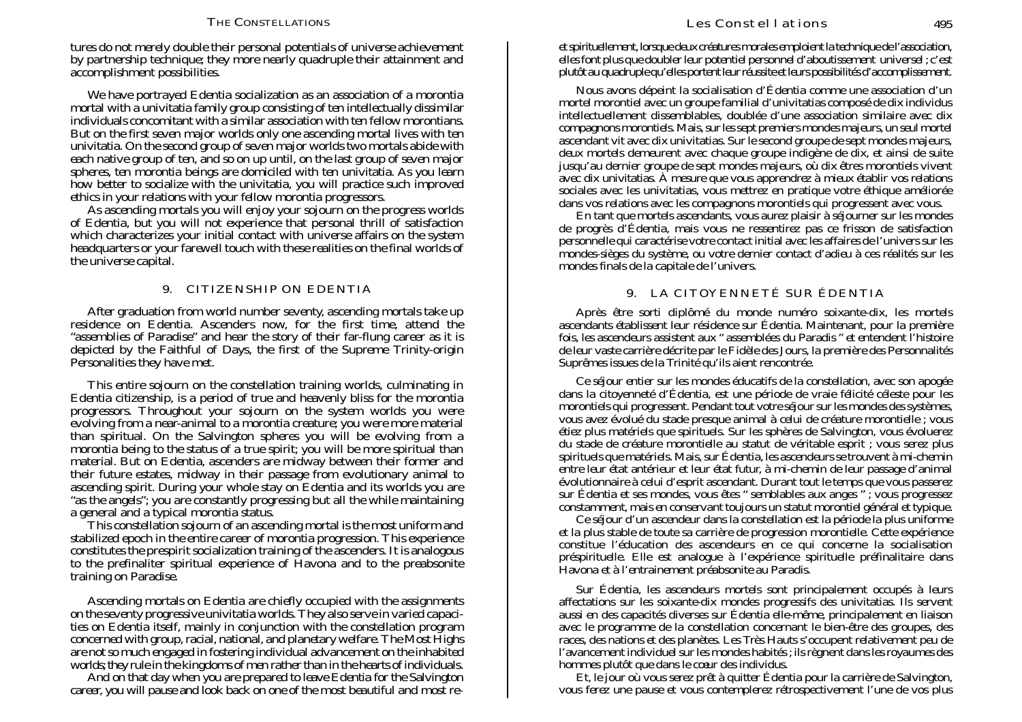tures do not merely double their personal potentials of universe achievement by partnership technique; they more nearly quadruple their attainment and accomplishment possibilities.

We have portrayed Edentia socialization as an association of a morontia mortal with a univitatia family group consisting of ten intellectually dissimilar individuals concomitant with a similar association with ten fellow morontians. But on the first seven major worlds only one ascending mortal lives with ten univitatia. On the second group of seven major worlds two mortals abide with each native group of ten, and so on up until, on the last group of seven major spheres, ten morontia beings are domiciled with ten univitatia. As you learn how better to socialize with the univitatia, you will practice such improved ethics in your relations with your fellow morontia progressors.

As ascending mortals you will enjoy your sojourn on the progress worlds of Edentia, but you will not experience that personal thrill of satisfaction which characterizes your initial contact with universe affairs on the system headquarters or your farewell touch with these realities on the final worlds of the universe capital.

#### 9. CITIZENSHIP ON EDENTIA

After graduation from world number seventy, ascending mortals take up residence on Edentia. Ascenders now, for the first time, attend the "assemblies of Paradise" and hear the story of their far-flung career as it is depicted by the Faithful of Days, the first of the Supreme Trinity-origin Personalities they have met.

This entire sojourn on the constellation training worlds, culminating in Edentia citizenship, is a period of true and heavenly bliss for the morontia progressors. Throughout your sojourn on the system worlds you were evolving from a near-animal to a morontia creature; you were more material than spiritual. On the Salvington spheres you will be evolving from a morontia being to the status of a true spirit; you will be more spiritual than material. But on Edentia, ascenders are midway between their former and their future estates, midway in their passage from evolutionary animal to ascending spirit. During your whole stay on Edentia and its worlds you are "as the angels"; you are constantly progressing but all the while maintaining a general and a typical morontia status.

This constellation sojourn of an ascending mortal is the most uniform and stabilized epoch in the entire career of morontia progression. This experience constitutes the prespirit socialization training of the ascenders. It is analogous to the prefinaliter spiritual experience of Havona and to the preabsonite training on Paradise.

Ascending mortals on Edentia are chiefly occupied with the assignments on the seventy progressive univitatia worlds. They also serve in varied capacities on Edentia itself, mainly in conjunction with the constellation program concerned with group, racial, national, and planetary welfare. The Most Highs are not so much engaged in fostering individual advancement on the inhabited worlds; they rule in the kingdoms of men rather than in the hearts of individuals.

And on that day when you are prepared to leave Edentia for the Salvington career, you will pause and look back on one of the most beautiful and most re-

#### Les Constellations 495

et spirituellement, lorsque deux créatures morales emploient la technique de l'association, elles font plus que doubler leur potentiel personnel d'aboutissement universel ; c'est plutôt au quadruple qu'elles portent leur réussite et leurs possibilités d'accomplissement.

Nous avons dépeint la socialisation d'Édentia comme une association d'un mortel morontiel avec un groupe familial d'univitatias composé de dix individus intellectuellement dissemblables, doublée d'une association similaire avec dix compagnons morontiels. Mais, sur les sept premiers mondes majeurs, un seul mortel ascendant vit avec dix univitatias. Sur le second groupe de sept mondes majeurs, deux mortels demeurent avec chaque groupe indigène de dix, et ainsi de suite jusqu'au dernier groupe de sept mondes majeurs, où dix êtres morontiels vivent avec dix univitatias. À mesure que vous apprendrez à mieux établir vos relations sociales avec les univitatias, vous mettrez en pratique votre éthique améliorée dans vos relations avec les compagnons morontiels qui progressent avec vous.

de progrès d'Edentia, mais vous ne ressentirez pas ce frisson de satisfaction personnelle qui caractérise votre contact initial avec les affaires de l'univers sur les mondes-sièges du système, ou votre dernier contact d'adieu à ces réalités sur les mondes finals de la capitale de l'univers.

# 9. LA CITOYENNETÉ SUR ÉDENTIA

Après être sorti diplômé du monde numéro soixante-dix, les mortels ascendants établissent leur résidence sur Édentia. Maintenant, pour la première fois, les ascendeurs assistent aux " assemblées du Paradis " et entendent l'histoire de leur vaste carrière décrite par le Fidèle des Jours, la première des Personnalités Suprêmes issues de la Trinité qu'ils aient rencontrée.

Ce séjour entier sur les mondes éducatifs de la constellation, avec son apogée dans la citoyenneté d'Édentia, est une période de vraie félicité céleste pour les morontiels qui progressent. Pendant tout votre séjour sur les mondes des systèmes, vous avez évolué du stade presque animal à celui de créature morontielle ; vous étiez plus matériels que spirituels. Sur les sphères de Salvington, vous évoluerez du stade de créature morontielle au statut de véritable esprit ; vous serez plus spirituels que matériels. Mais, sur Édentia, les ascendeurs se trouvent à mi-chemin entre leur état antérieur et leur état futur, à mi-chemin de leur passage d'animal évolutionnaire à celui d'esprit ascendant. Durant tout le temps que vous passerez sur Édentia et ses mondes, vous êtes " semblables aux anges " ; vous progressez constamment, mais en conservant toujours un statut morontiel général et typique.

Ce séjour d'un ascendeur dans la constellation est la période la plus uniforme et la plus stable de toute sa carrière de progression morontielle. Cette expérience constitue l'éducation des ascendeurs en ce qui concerne la socialisation préspirituelle. Elle est analogue à l'expérience spirituelle préfinalitaire dans Havona et à l'entrainement préabsonite au Paradis.

Sur Édentia, les ascendeurs mortels sont principalement occupés à leurs affectations sur les soixante-dix mondes progressifs des univitatias. Ils servent aussi en des capacités diverses sur Édentia elle-même, principalement en liaison avec le programme de la constellation concernant le bien-être des groupes, des races, des nations et des planètes. Les Très Hauts s'occupent relativement peu de l'avancement individuel sur les mondes habités ; ils règnent dans les royaumes des hommes plutôt que dans le cœur des individus. Et, le jour où vous serez prêt à quitter Édentia pour la carrière de Salvington,

vous ferez une pause et vous contemplerez rétrospectivement l'une de vos plus